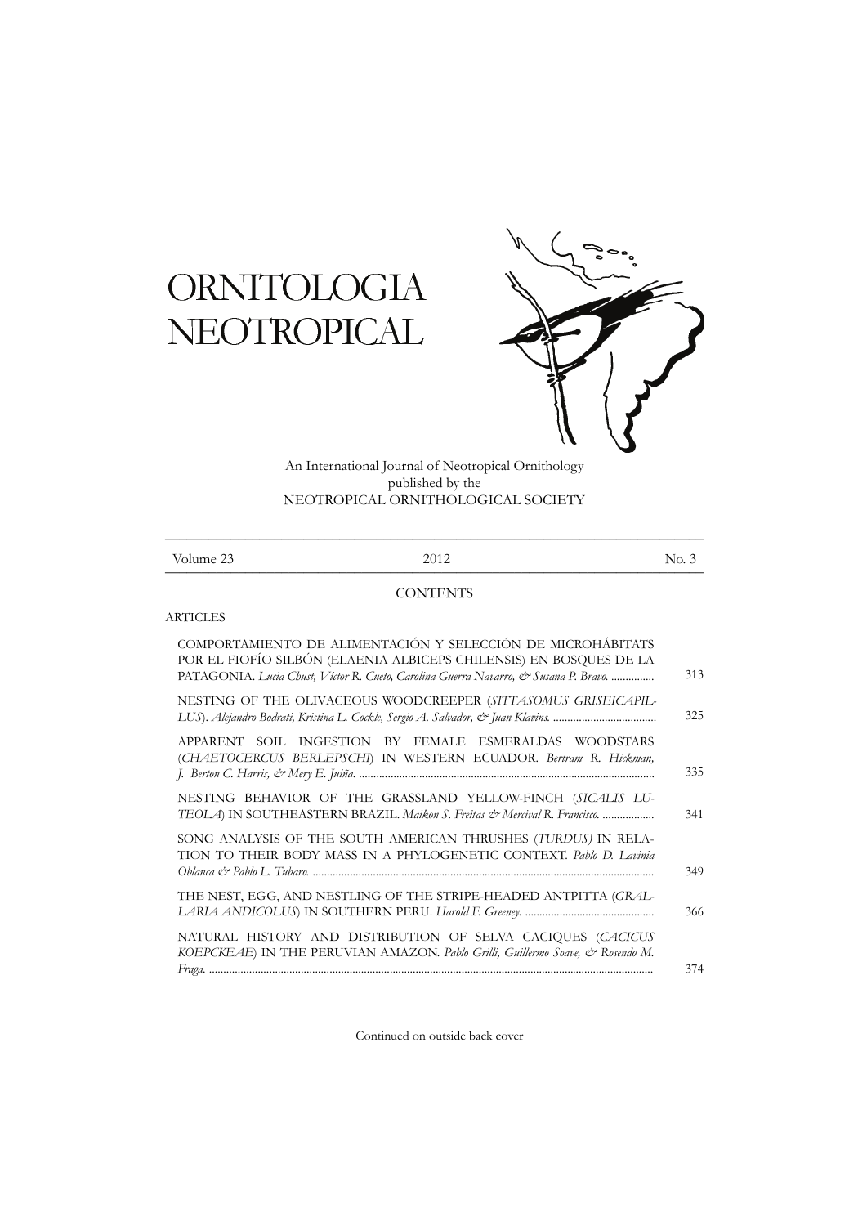# **ORNITOLOGIA** NEOTROPICAL



An International Journal of Neotropical Ornithology published by the NEOTROPICAL ORNITHOLOGICAL SOCIETY

| Volume 23 | 2012 | No. 3 |
|-----------|------|-------|

# **CONTENTS**

# **ARTICLES**

| COMPORTAMIENTO DE ALIMENTACIÓN Y SELECCIÓN DE MICROHÁBITATS<br>POR EL FIOFÍO SILBÓN (ELAENIA ALBICEPS CHILENSIS) EN BOSQUES DE LA<br>PATAGONIA. Lucia Chust, Víctor R. Cueto, Carolina Guerra Navarro, & Susana P. Bravo. | 313 |
|---------------------------------------------------------------------------------------------------------------------------------------------------------------------------------------------------------------------------|-----|
| NESTING OF THE OLIVACEOUS WOODCREEPER (SITTASOMUS GRISEICAPIL-                                                                                                                                                            | 325 |
| APPARENT SOIL INGESTION BY FEMALE ESMERALDAS WOODSTARS<br>(CHAETOCERCUS BERLEPSCHI) IN WESTERN ECUADOR. Bertram R. Hickman,                                                                                               | 335 |
| NESTING BEHAVIOR OF THE GRASSLAND YELLOW-FINCH (SICALIS LU-<br>TEOLA) IN SOUTHEASTERN BRAZIL. Maikon S. Freitas & Mercival R. Francisco.                                                                                  | 341 |
| SONG ANALYSIS OF THE SOUTH AMERICAN THRUSHES (TURDUS) IN RELA-<br>TION TO THEIR BODY MASS IN A PHYLOGENETIC CONTEXT. Pablo D. Lavinia                                                                                     | 349 |
| THE NEST, EGG, AND NESTLING OF THE STRIPE-HEADED ANTPITTA (GRAL-                                                                                                                                                          | 366 |
| NATURAL HISTORY AND DISTRIBUTION OF SELVA CACIQUES (CACICUS<br>KOEPCKEAE) IN THE PERUVIAN AMAZON. Pablo Grilli, Guillermo Soave, & Rosendo M.                                                                             | 374 |

Continued on outside back cover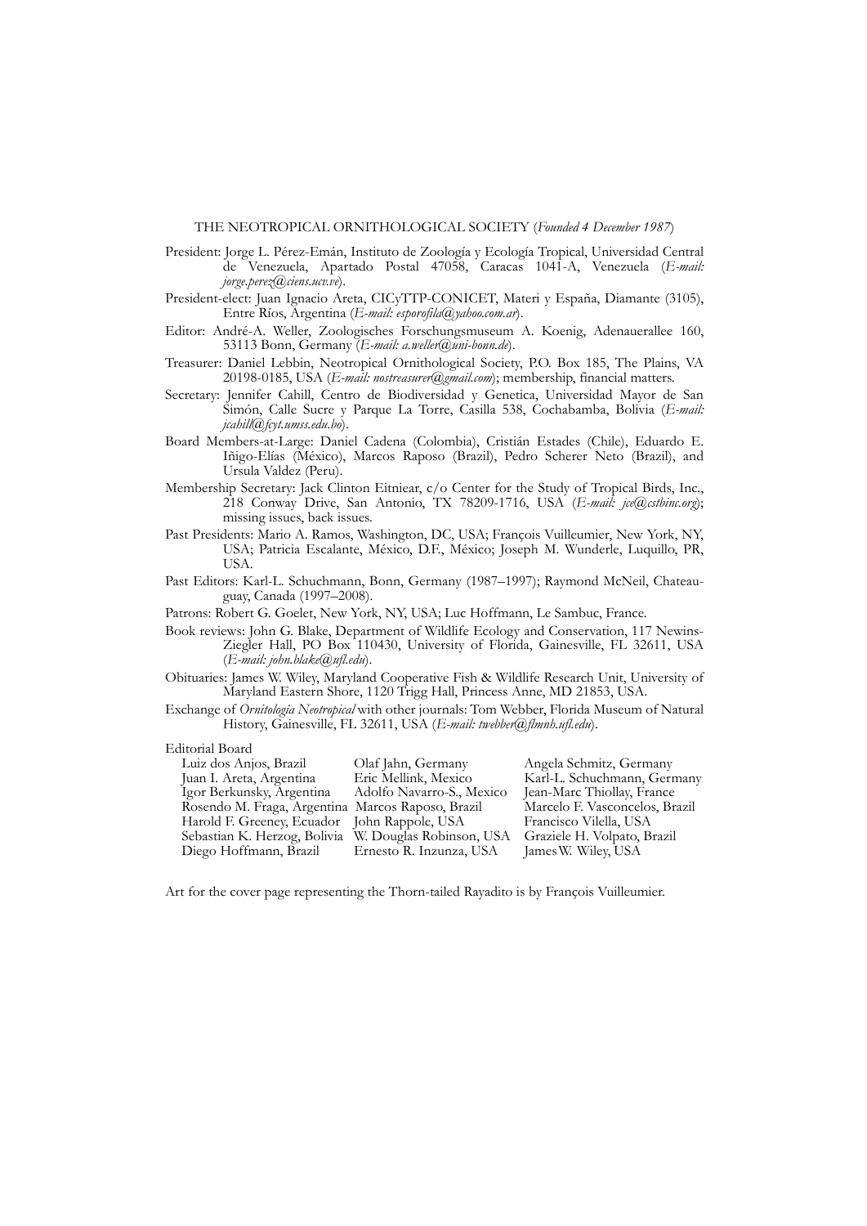- President: Jorge L. Pérez-Emán, Instituto de Zoología y Ecología Tropical, Universidad Central de Venezuela, Apartado Postal 47058, Caracas 1041-A, Venezuela (*E-mail: jorge.perez@ciens.ucv.ve*).
- President-elect: Juan Ignacio Areta, CICyTTP-CONICET, Materi y España, Diamante (3105), Entre Ríos, Argentina (*E-mail: esporofila@yahoo.com.ar*).
- Editor: André-A. Weller, Zoologisches Forschungsmuseum A. Koenig, Adenauerallee 160, 53113 Bonn, Germany (*E-mail: a.weller@uni-bonn.de*).
- Treasurer: Daniel Lebbin, Neotropical Ornithological Society, P.O. Box 185, The Plains, VA 20198-0185, USA (*E-mail: nostreasurer@gmail.com*); membership, financial matters.
- Secretary: Jennifer Cahill, Centro de Biodiversidad y Genetica, Universidad Mayor de San Simón, Calle Sucre y Parque La Torre, Casilla 538, Cochabamba, Bolivia (*E-mail: jcahill@fcyt.umss.edu.bo*).
- Board Members-at-Large: Daniel Cadena (Colombia), Cristián Estades (Chile), Eduardo E. Iñigo-Elías (México), Marcos Raposo (Brazil), Pedro Scherer Neto (Brazil), and Ursula Valdez (Peru).
- Membership Secretary: Jack Clinton Eitniear, c/o Center for the Study of Tropical Birds, Inc., 218 Conway Drive, San Antonio, TX 78209-1716, USA (*E-mail: jce@cstbinc.org*); missing issues, back issues.
- Past Presidents: Mario A. Ramos, Washington, DC, USA; François Vuilleumier, New York, NY, USA; Patricia Escalante, México, D.F., México; Joseph M. Wunderle, Luquillo, PR, USA.
- Past Editors: Karl-L. Schuchmann, Bonn, Germany (1987–1997); Raymond McNeil, Chateauguay, Canada (1997–2008).

Patrons: Robert G. Goelet, New York, NY, USA; Luc Hoffmann, Le Sambuc, France.

- Book reviews: John G. Blake, Department of Wildlife Ecology and Conservation, 117 Newins-Ziegler Hall, PO Box 110430, University of Florida, Gainesville, FL 32611, USA (*E-mail: john.blake@ufl.edu*).
- Obituaries: James W. Wiley, Maryland Cooperative Fish & Wildlife Research Unit, University of Maryland Eastern Shore, 1120 Trigg Hall, Princess Anne, MD 21853, USA.
- Exchange of *Ornitología Neotropical* with other journals: Tom Webber, Florida Museum of Natural History, Gainesville, FL 32611, USA (*E-mail: twebber@flmnh.ufl.edu*).

## Editorial Board

| Luiz dos Anjos, Brazil                                | Olaf Jahn, Germany        | Angela Schmitz, Germany        |
|-------------------------------------------------------|---------------------------|--------------------------------|
| Juan I. Areta, Argentina                              | Eric Mellink, Mexico      | Karl-L. Schuchmann, Germany    |
| Igor Berkunsky, Argentina                             | Adolfo Navarro-S., Mexico | Jean-Marc Thiollay, France     |
| Rosendo M. Fraga, Argentina Marcos Raposo, Brazil     |                           | Marcelo F. Vasconcelos, Brazil |
| Harold F. Greeney, Ecuador John Rappole, USA          |                           | Francisco Vilella, USA         |
| Sebastian K. Herzog, Bolivia W. Douglas Robinson, USA |                           | Graziele H. Volpato, Brazil    |
| Diego Hoffmann, Brazil                                | Ernesto R. Inzunza, USA   | James W. Wiley, USA            |

Art for the cover page representing the Thorn-tailed Rayadito is by François Vuilleumier.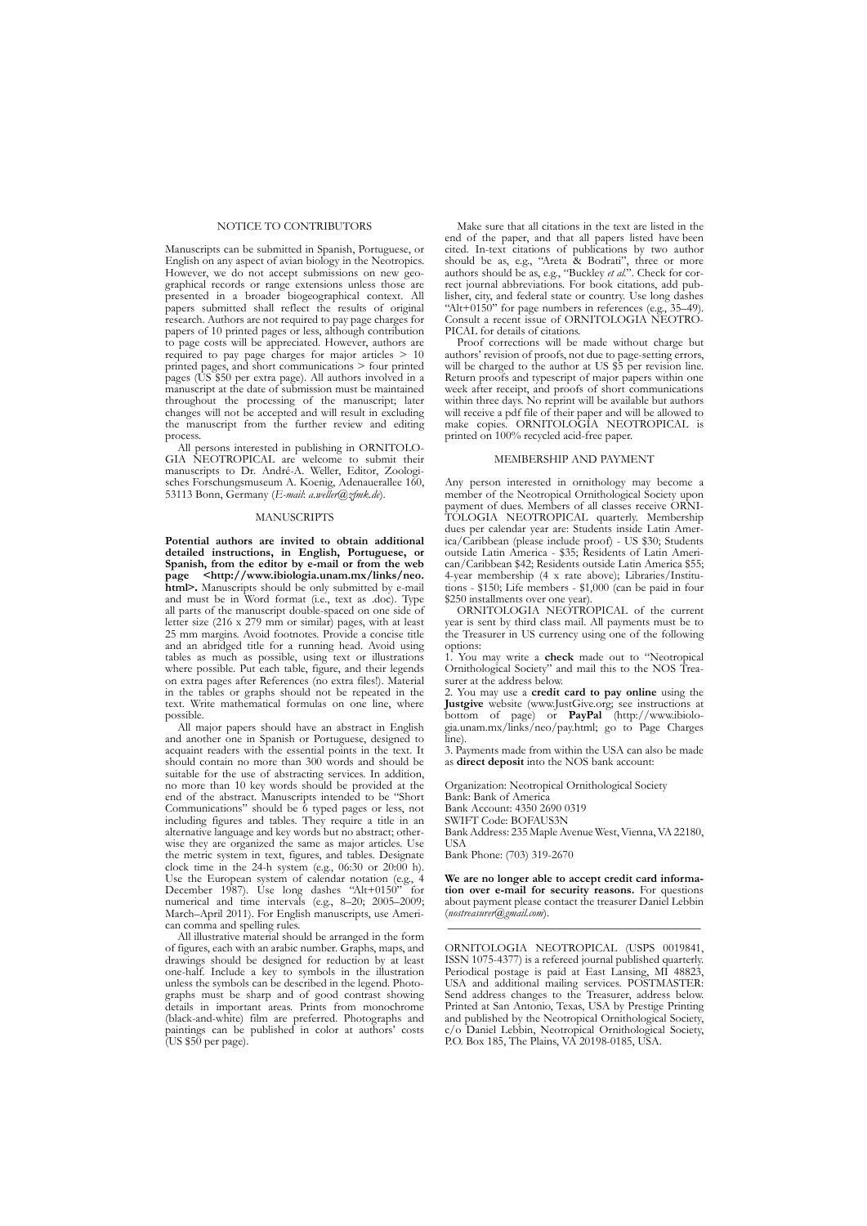### NOTICE TO CONTRIBUTORS

Manuscripts can be submitted in Spanish, Portuguese, or English on any aspect of avian biology in the Neotropics. However, we do not accept submissions on new geographical records or range extensions unless those are presented in a broader biogeographical context. All papers submitted shall reflect the results of original research. Authors are not required to pay page charges for papers of 10 printed pages or less, although contribution to page costs will be appreciated. However, authors are required to pay page charges for major articles > 10 printed pages, and short communications > four printed pages (US \$50 per extra page). All authors involved in a manuscript at the date of submission must be maintained throughout the processing of the manuscript; later changes will not be accepted and will result in excluding the manuscript from the further review and editing process.

All persons interested in publishing in ORNITOLO-GIA NEOTROPICAL are welcome to submit their manuscripts to Dr. André-A. Weller, Editor, Zoologisches Forschungsmuseum A. Koenig, Adenauerallee 160, 53113 Bonn, Germany (*E-mail*: *a.weller@zfmk.de*).

### **MANUSCRIPTS**

**Potential authors are invited to obtain additional detailed instructions, in English, Portuguese, or Spanish, from the editor by e-mail or from the web page <http://www.ibiologia.unam.mx/links/neo.<br>
<b>html>.** Manuscripts should be only submitted by e-mail and must be in Word format (i.e., text as .doc). Type all parts of the manuscript double-spaced on one side of letter size (216 x 279 mm or similar) pages, with at least 25 mm margins. Avoid footnotes. Provide a concise title and an abridged title for a running head. Avoid using tables as much as possible, using text or illustrations where possible. Put each table, figure, and their legends on extra pages after References (no extra files!). Material in the tables or graphs should not be repeated in the text. Write mathematical formulas on one line, where possible.

All major papers should have an abstract in English and another one in Spanish or Portuguese, designed to acquaint readers with the essential points in the text. It should contain no more than 300 words and should be suitable for the use of abstracting services. In addition, no more than 10 key words should be provided at the end of the abstract. Manuscripts intended to be "Short Communications" should be 6 typed pages or less, not including figures and tables. They require a title in an alternative language and key words but no abstract; otherwise they are organized the same as major articles. Use the metric system in text, figures, and tables. Designate clock time in the 24-h system (e.g., 06:30 or 20:00 h). Use the European system of calendar notation (e.g., 4 December 1987). Use long dashes "Alt+0150" for numerical and time intervals (e.g., 8–20; 2005–2009; March–April 2011). For English manuscripts, use American comma and spelling rules.

All illustrative material should be arranged in the form of figures, each with an arabic number. Graphs, maps, and drawings should be designed for reduction by at least one-half. Include a key to symbols in the illustration unless the symbols can be described in the legend. Photographs must be sharp and of good contrast showing details in important areas. Prints from monochrome (black-and-white) film are preferred. Photographs and paintings can be published in color at authors' costs (US \$50 per page).

Make sure that all citations in the text are listed in the end of the paper, and that all papers listed have been cited. In-text citations of publications by two author should be as, e.g., "Areta & Bodrati", three or more authors should be as, e.g., "Buckley *et al.*". Check for correct journal abbreviations. For book citations, add publisher, city, and federal state or country. Use long dashes "Alt+0150" for page numbers in references (e.g., 35–49). Consult a recent issue of ORNITOLOGIA NEOTRO-PICAL for details of citations.

Proof corrections will be made without charge but authors' revision of proofs, not due to page-setting errors, will be charged to the author at US \$5 per revision line. Return proofs and typescript of major papers within one week after receipt, and proofs of short communications within three days. No reprint will be available but authors will receive a pdf file of their paper and will be allowed to make copies. ORNITOLOGIA NEOTROPICAL is printed on 100% recycled acid-free paper.

### MEMBERSHIP AND PAYMENT

Any person interested in ornithology may become a member of the Neotropical Ornithological Society upon payment of dues. Members of all classes receive ORNI-TOLOGIA NEOTROPICAL quarterly. Membership dues per calendar year are: Students inside Latin America/Caribbean (please include proof) - US \$30; Students outside Latin America - \$35; Residents of Latin American/Caribbean \$42; Residents outside Latin America \$55; 4-year membership (4 x rate above); Libraries/Institutions - \$150; Life members - \$1,000 (can be paid in four \$250 installments over one year).

ORNITOLOGIA NEOTROPICAL of the current year is sent by third class mail. All payments must be to the Treasurer in US currency using one of the following options:

1. You may write a **check** made out to "Neotropical Ornithological Society" and mail this to the NOS Treasurer at the address below.

2. You may use a **credit card to pay online** using the **Justgive** website (www.JustGive.org; see instructions at bottom of page) or **PayPal** (http://www.ibiologia.unam.mx/links/neo/pay.html; go to Page Charges line).

3. Payments made from within the USA can also be made as **direct deposit** into the NOS bank account:

Organization: Neotropical Ornithological Society Bank: Bank of America Bank Account: 4350 2690 0319 SWIFT Code: BOFAUS3N Bank Address: 235 Maple Avenue West,Vienna,VA22180, **TISA** Bank Phone: (703) 319-2670

**We are no longer able to accept credit card information over e-mail for security reasons.** For questions about payment please contact the treasurer Daniel Lebbin (*nostreasurer@gmail.com*). \_\_\_\_\_\_\_\_\_\_\_\_\_\_\_\_\_\_\_\_\_\_\_\_\_\_\_\_\_\_\_\_\_\_\_\_\_\_\_\_\_\_

ORNITOLOGIA NEOTROPICAL (USPS 0019841, ISSN 1075-4377) is a refereed journal published quarterly. Periodical postage is paid at East Lansing, MI 48823, USA and additional mailing services. POSTMASTER: Send address changes to the Treasurer, address below. Printed at San Antonio, Texas, USA by Prestige Printing and published by the Neotropical Ornithological Society, c/o Daniel Lebbin, Neotropical Ornithological Society, P.O. Box 185, The Plains, VA 20198-0185, USA.